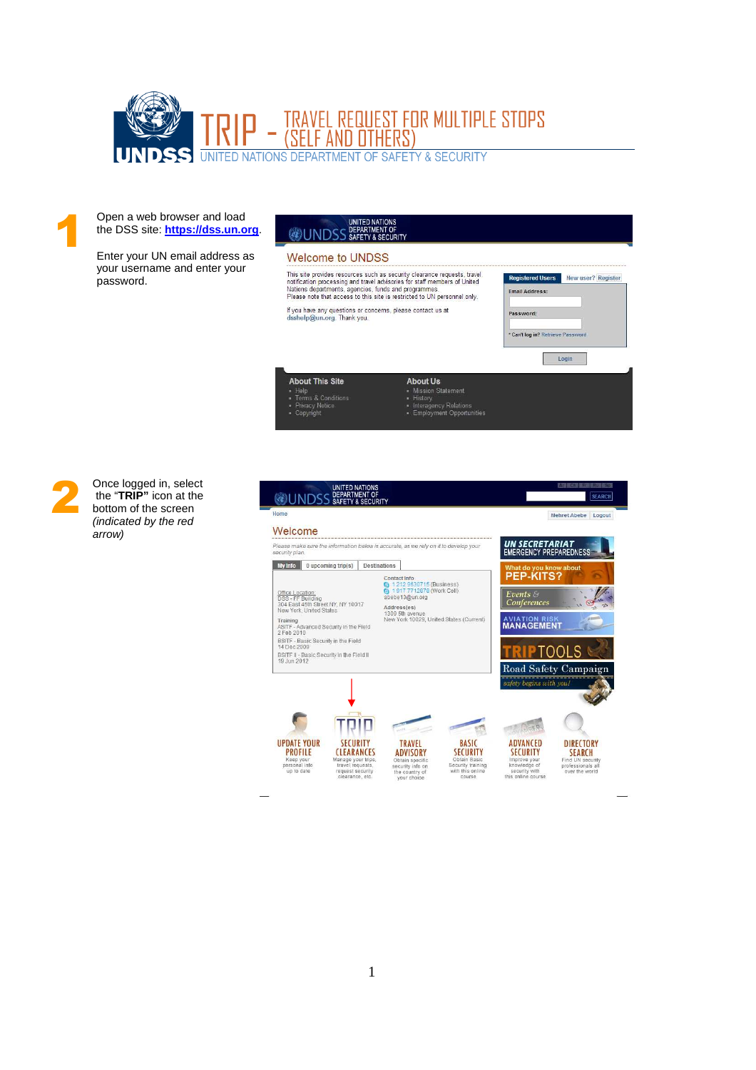

Open a web browser and load the DSS site: **https://dss.un.org**.

Enter your UN email address as your username and enter your password.

## UNITED NATIONS<br>IDEPARTMENT OF SAFETY & SECURITY

## **Welcome to UNDSS**

| lations departments, agencies, funds and programmes.<br>lease note that access to this site is restricted to UN personnel only. | his site provides resources such as security clearance requests, travel<br>otification processing and travel advisories for staff members of United | <b>Registered Users</b><br><b>Email Address:</b> | New user? Register |
|---------------------------------------------------------------------------------------------------------------------------------|-----------------------------------------------------------------------------------------------------------------------------------------------------|--------------------------------------------------|--------------------|
| you have any questions or concerns, please contact us at<br>sshelp@un.org. Thank you.                                           |                                                                                                                                                     | Password:                                        |                    |
|                                                                                                                                 |                                                                                                                                                     | * Can't log in? Retrieve Password                |                    |
|                                                                                                                                 |                                                                                                                                                     |                                                  | Login              |
| <b>About This Site</b>                                                                                                          | <b>About Us</b>                                                                                                                                     |                                                  |                    |
| · Help<br>Terms & Conditions<br>· Privacy Notice<br>Copyright                                                                   | • Mission Statement<br>· History<br>« Interagency Relations<br>· Employment Opportunities                                                           |                                                  |                    |



1

Once logged in, select the "**TRIP"** icon at the bottom of the screen (indicated by the red arrow)

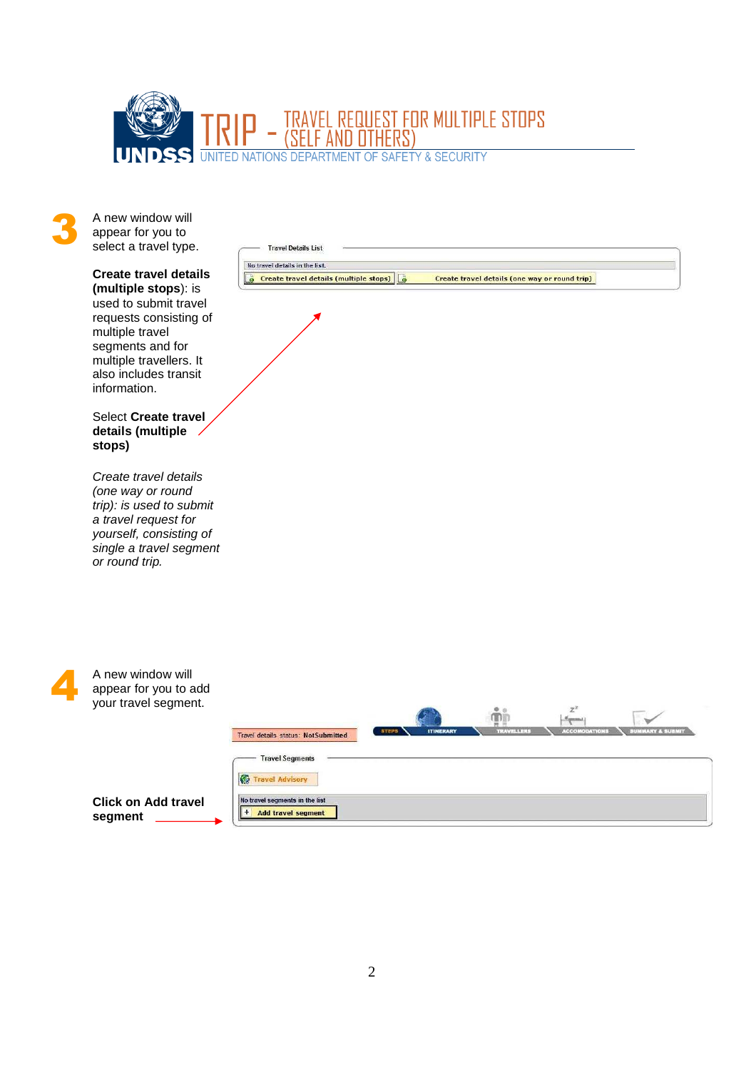

A new window will appear for you to select a travel type.

3

## **Create travel details (multiple stops**): is

used to submit travel requests consisting of multiple travel segments and for multiple travellers. It also includes transit information.

Select **Create travel details (multiple stops)**

Create travel details (one way or round trip): is used to submit a travel request for yourself, consisting of single a travel segment or round trip.

| <b>Travel Details List</b>                    |                                               |
|-----------------------------------------------|-----------------------------------------------|
| No travel details in the list.                |                                               |
| <b>Create travel details (multiple stops)</b> | Create travel details (one way or round trip) |

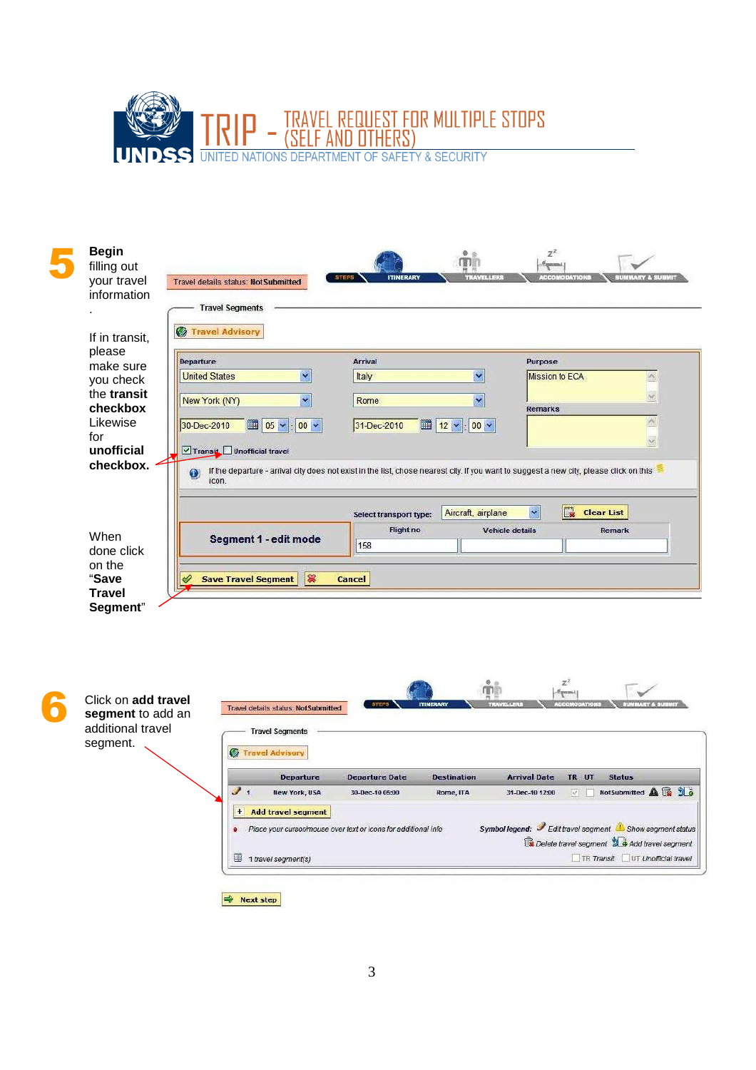

| <b>Begin</b><br>filling out<br>your travel<br>information | Travel details status: Not Submitted                                                                                                                                                       | <b>STEPS</b><br><b>ITINERARY</b> | <b>TRAVELLERS</b>                 |              | $z^z$<br><b>Hyperman</b><br><b>ACCOMODATIONS</b> | <b>SUMMARY &amp; SUBMIT</b> |
|-----------------------------------------------------------|--------------------------------------------------------------------------------------------------------------------------------------------------------------------------------------------|----------------------------------|-----------------------------------|--------------|--------------------------------------------------|-----------------------------|
|                                                           | <b>Travel Segments</b><br>Ø<br><b>Travel Advisory</b>                                                                                                                                      |                                  |                                   |              |                                                  |                             |
| If in transit,<br>please<br>make sure                     | Departure                                                                                                                                                                                  | <b>Arrival</b>                   |                                   | Purpose      |                                                  |                             |
| you check                                                 | Y<br><b>United States</b>                                                                                                                                                                  | Italy                            | $\ddot{\phantom{1}}$              |              | Mission to ECA                                   | S.                          |
| the transit<br>checkbox                                   | $\checkmark$<br>New York (NY)                                                                                                                                                              | Rome                             | ×                                 | Remarks      |                                                  |                             |
| Likewise                                                  | $ 00 \rangle$<br>30-Dec-2010<br>$05 \times$                                                                                                                                                | 31-Dec-2010                      | $\frac{1}{2}$ 12 $\vee$ 00 $\vee$ |              |                                                  | $\frac{1}{2}$               |
| for                                                       |                                                                                                                                                                                            |                                  |                                   |              |                                                  | ×                           |
| unofficial<br>checkbox.                                   | √ Transit Unofficial travel<br>If the departure - arrival city does not exist in the list, chose nearest city. If you want to suggest a new city, please click on this<br>$\odot$<br>icon. |                                  |                                   |              |                                                  |                             |
|                                                           |                                                                                                                                                                                            |                                  |                                   |              |                                                  |                             |
|                                                           |                                                                                                                                                                                            | Select transport type:           | Aircraft, airplane                | $\checkmark$ | 體<br><b>Clear List</b>                           |                             |
| When                                                      | Segment 1 - edit mode                                                                                                                                                                      | <b>Flight no</b>                 | Vehicle details                   |              | Remark                                           |                             |
|                                                           |                                                                                                                                                                                            | 158                              |                                   |              |                                                  |                             |
| done click                                                |                                                                                                                                                                                            |                                  |                                   |              |                                                  |                             |
| on the                                                    |                                                                                                                                                                                            |                                  |                                   |              |                                                  |                             |
| "Save<br><b>Travel</b>                                    | 18<br><b>Save Travel Segment</b><br>♦                                                                                                                                                      | Cancel                           |                                   |              |                                                  |                             |

 $Z^2$  $\mathring{\mathbb{m}}$ 6  $\sigma_{\rm quas}$ Click on **add travel**  Travel details status: NotSubmitted STEPS **segment** to add an additional travel Travel Segments . segment. *C* Travel Advisory **Departure Departure Date Destination Arrival Date** TR UT Status  $\overline{\mathcal{L}}$ □ NotSubmitted A **B** 24 New York, USA 30-Dec-10 05:00 Rome, ITA 31-Dec-10 12:00 + Add travel segment · Place your cursor/mouse over text or icons for additional info Symbol legend: J Edit travel segment A Show segment status Delete travel segment 2 Add travel segment  $\Box$ TR Transit  $\Box$  UT Unofficial travel  $\qquad\quad\quad\quad$  1 travel segment(s)

Next step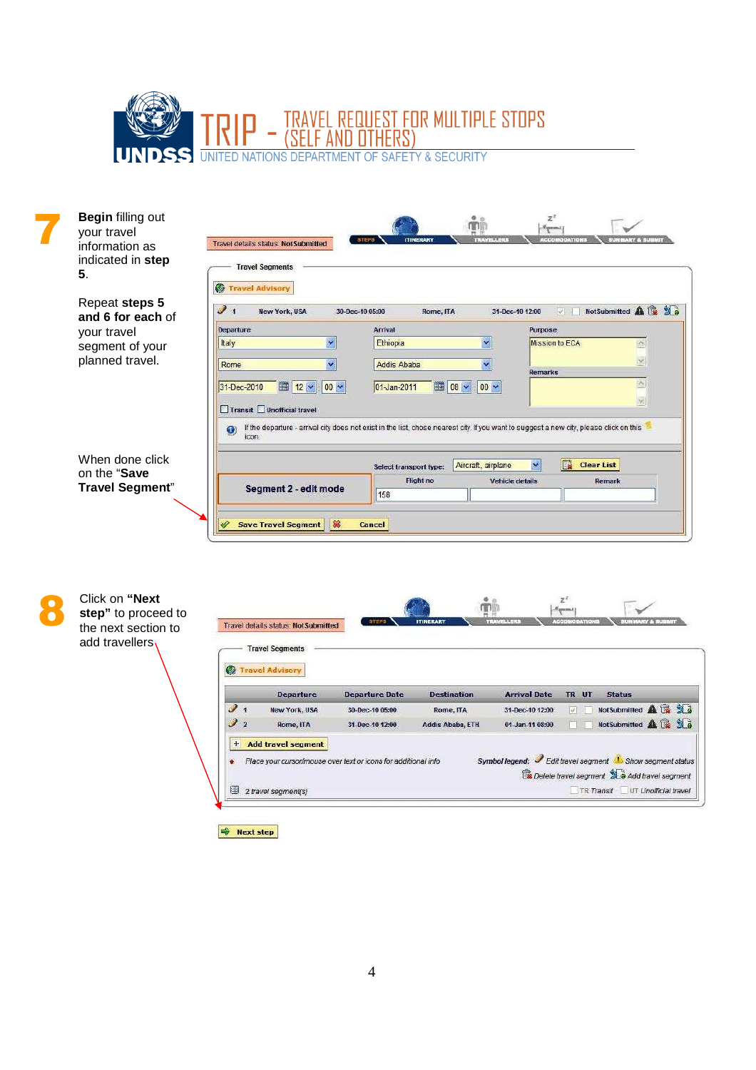



Place your cursor/mouse over text or icons for additional info

.

2 travel segment(s)

Next step

Symbol legend: *O* Edit travel segment **A** Show segment status

Delete travel segment and and travel segment

TR Transit UT Unofficial travel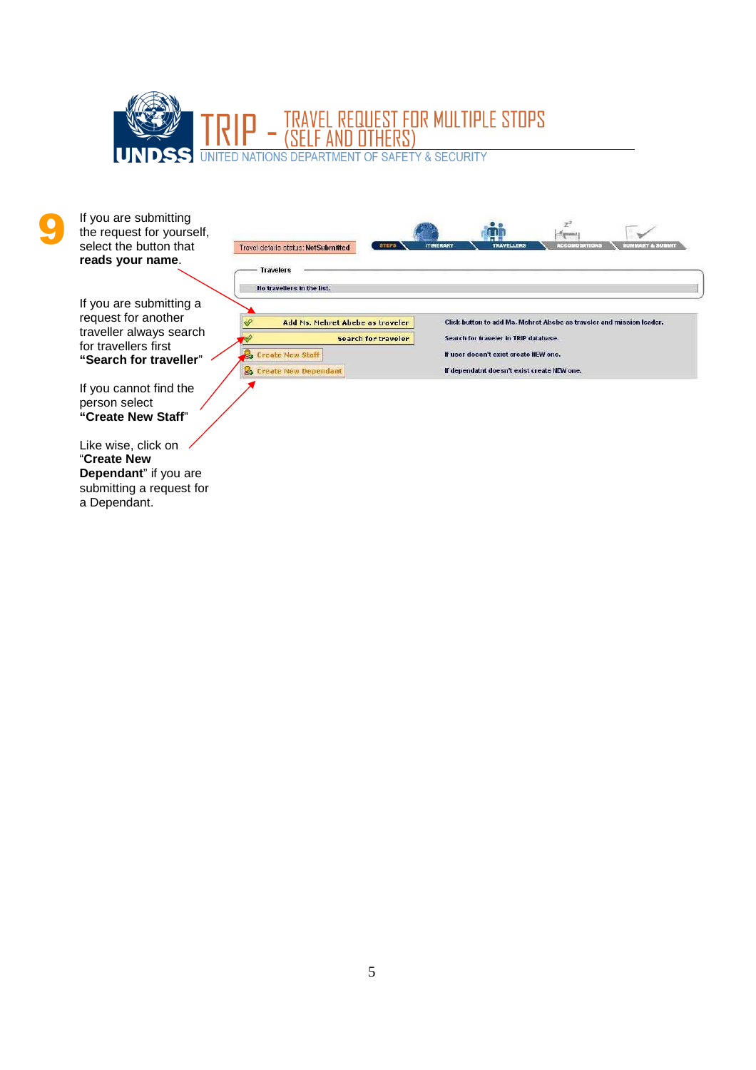

If you are submitting the request for yourself, select the button that **reads your name**.

9

If you are submitting a request for another traveller always search for travellers first **"Search for traveller**"

If you cannot find the person select **"Create New Staff**"

Like wise, click on "**Create New Dependant**" if you are submitting a request for a Dependant.

|                                  |                  |                   | Representative                        |                                                                                                                                                              |  |  |  |
|----------------------------------|------------------|-------------------|---------------------------------------|--------------------------------------------------------------------------------------------------------------------------------------------------------------|--|--|--|
| <b>STEPS</b>                     | <b>ITINERARY</b> | <b>TRAVELLERS</b> | <b>ACCOMODATIONS</b>                  | <b>SUNNARY &amp; SUBMIT</b>                                                                                                                                  |  |  |  |
|                                  |                  |                   |                                       |                                                                                                                                                              |  |  |  |
|                                  |                  |                   |                                       |                                                                                                                                                              |  |  |  |
|                                  |                  |                   |                                       |                                                                                                                                                              |  |  |  |
| Add Ms. Mehret Abebe as traveler |                  |                   |                                       |                                                                                                                                                              |  |  |  |
| <b>Search for traveler</b>       |                  |                   | Search for traveler in TRIP database. |                                                                                                                                                              |  |  |  |
|                                  |                  |                   |                                       |                                                                                                                                                              |  |  |  |
|                                  |                  |                   |                                       |                                                                                                                                                              |  |  |  |
|                                  |                  |                   |                                       | Click button to add Ms. Mehret Abebe as traveler and mission leader.<br>If user doesn't exist create NEW one.<br>If dependatnt doesn't exist create NEW one. |  |  |  |

.<br>Alb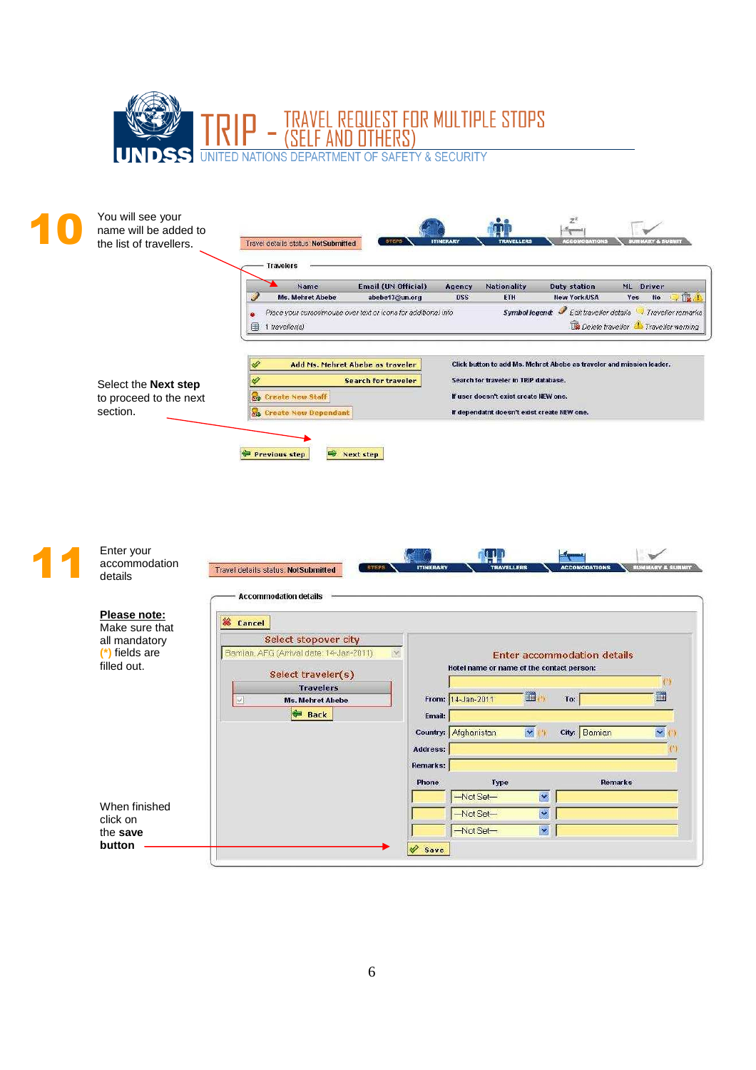